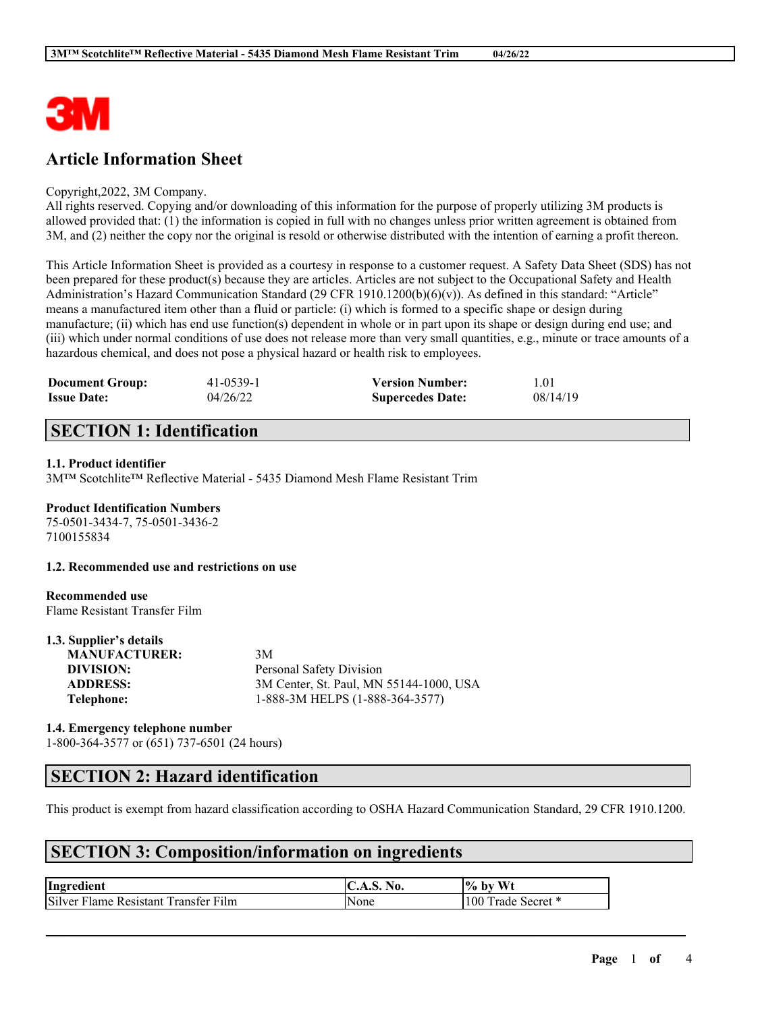

# **Article Information Sheet**

#### Copyright,2022, 3M Company.

All rights reserved. Copying and/or downloading of this information for the purpose of properly utilizing 3M products is allowed provided that: (1) the information is copied in full with no changes unless prior written agreement is obtained from 3M, and (2) neither the copy nor the original is resold or otherwise distributed with the intention of earning a profit thereon.

This Article Information Sheet is provided as a courtesy in response to a customer request. A Safety Data Sheet (SDS) has not been prepared for these product(s) because they are articles. Articles are not subject to the Occupational Safety and Health Administration's Hazard Communication Standard (29 CFR 1910.1200(b)(6)(v)). As defined in this standard: "Article" means a manufactured item other than a fluid or particle: (i) which is formed to a specific shape or design during manufacture; (ii) which has end use function(s) dependent in whole or in part upon its shape or design during end use; and (iii) which under normal conditions of use does not release more than very small quantities, e.g., minute or trace amounts of a hazardous chemical, and does not pose a physical hazard or health risk to employees.

| <b>Document Group:</b> | 41-0539-1 | <b>Version Number:</b>  | 1.01     |
|------------------------|-----------|-------------------------|----------|
| <b>Issue Date:</b>     | 04/26/22  | <b>Supercedes Date:</b> | 08/14/19 |

# **SECTION 1: Identification**

### **1.1. Product identifier**

3M™ Scotchlite™ Reflective Material - 5435 Diamond Mesh Flame Resistant Trim

### **Product Identification Numbers**

75-0501-3434-7, 75-0501-3436-2 7100155834

#### **1.2. Recommended use and restrictions on use**

### **Recommended use**

Flame Resistant Transfer Film

#### **1.3. Supplier's details**

| <b>MANUFACTURER:</b> | 3M                                      |
|----------------------|-----------------------------------------|
| DIVISION:            | Personal Safety Division                |
| <b>ADDRESS:</b>      | 3M Center, St. Paul, MN 55144-1000, USA |
| Telephone:           | 1-888-3M HELPS (1-888-364-3577)         |
|                      |                                         |

#### **1.4. Emergency telephone number**

1-800-364-3577 or (651) 737-6501 (24 hours)

# **SECTION 2: Hazard identification**

This product is exempt from hazard classification according to OSHA Hazard Communication Standard, 29 CFR 1910.1200.

 $\mathcal{L}_\mathcal{L} = \mathcal{L}_\mathcal{L} = \mathcal{L}_\mathcal{L} = \mathcal{L}_\mathcal{L} = \mathcal{L}_\mathcal{L} = \mathcal{L}_\mathcal{L} = \mathcal{L}_\mathcal{L} = \mathcal{L}_\mathcal{L} = \mathcal{L}_\mathcal{L} = \mathcal{L}_\mathcal{L} = \mathcal{L}_\mathcal{L} = \mathcal{L}_\mathcal{L} = \mathcal{L}_\mathcal{L} = \mathcal{L}_\mathcal{L} = \mathcal{L}_\mathcal{L} = \mathcal{L}_\mathcal{L} = \mathcal{L}_\mathcal{L}$ 

# **SECTION 3: Composition/information on ingredients**

| Ingredient                           | No.<br>A.D. 1 | $\%$ by<br>Wt            |
|--------------------------------------|---------------|--------------------------|
| Silver Flame Resistant Transfer Film | None          | 100 Ti<br>Frade Secret * |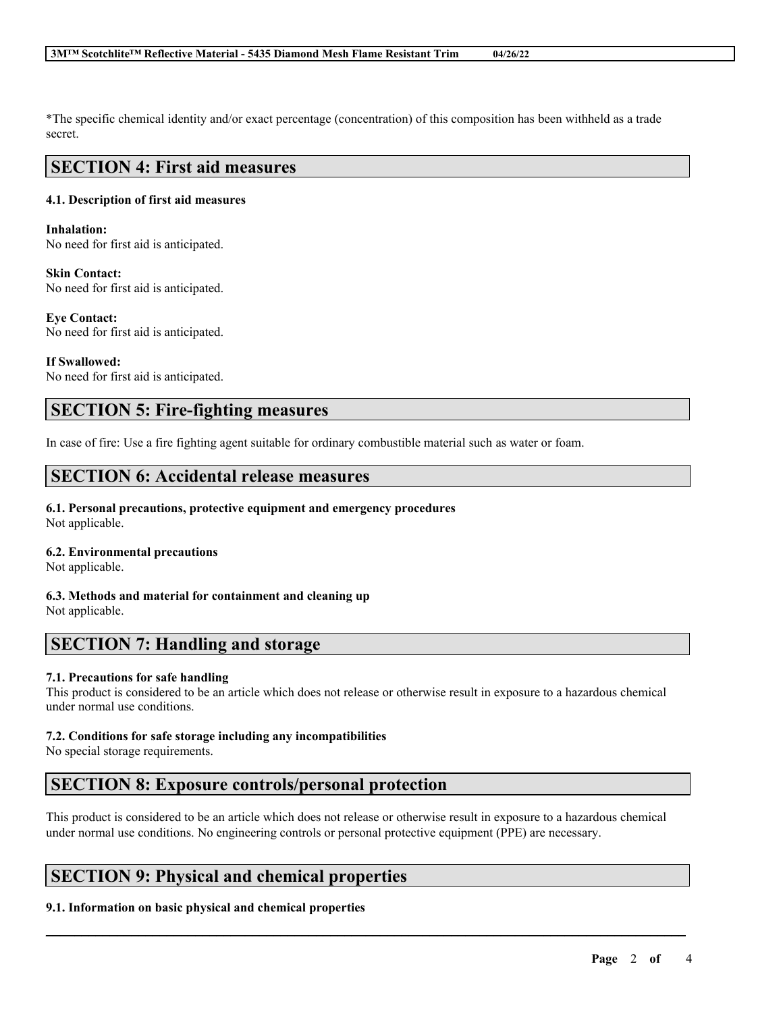#### **3M™ Scotchlite™ Reflective Material - 5435 Diamond Mesh Flame Resistant Trim 04/26/22**

\*The specific chemical identity and/or exact percentage (concentration) of this composition has been withheld as a trade secret.

### **SECTION 4: First aid measures**

#### **4.1. Description of first aid measures**

**Inhalation:** No need for first aid is anticipated.

**Skin Contact:** No need for first aid is anticipated.

**Eye Contact:** No need for first aid is anticipated.

**If Swallowed:** No need for first aid is anticipated.

# **SECTION 5: Fire-fighting measures**

In case of fire: Use a fire fighting agent suitable for ordinary combustible material such as water or foam.

### **SECTION 6: Accidental release measures**

**6.1. Personal precautions, protective equipment and emergency procedures** Not applicable.

#### **6.2. Environmental precautions**

Not applicable.

**6.3. Methods and material for containment and cleaning up** Not applicable.

# **SECTION 7: Handling and storage**

#### **7.1. Precautions for safe handling**

This product is considered to be an article which does not release or otherwise result in exposure to a hazardous chemical under normal use conditions.

#### **7.2. Conditions for safe storage including any incompatibilities**

No special storage requirements.

# **SECTION 8: Exposure controls/personal protection**

This product is considered to be an article which does not release or otherwise result in exposure to a hazardous chemical under normal use conditions. No engineering controls or personal protective equipment (PPE) are necessary.

 $\mathcal{L}_\mathcal{L} = \mathcal{L}_\mathcal{L} = \mathcal{L}_\mathcal{L} = \mathcal{L}_\mathcal{L} = \mathcal{L}_\mathcal{L} = \mathcal{L}_\mathcal{L} = \mathcal{L}_\mathcal{L} = \mathcal{L}_\mathcal{L} = \mathcal{L}_\mathcal{L} = \mathcal{L}_\mathcal{L} = \mathcal{L}_\mathcal{L} = \mathcal{L}_\mathcal{L} = \mathcal{L}_\mathcal{L} = \mathcal{L}_\mathcal{L} = \mathcal{L}_\mathcal{L} = \mathcal{L}_\mathcal{L} = \mathcal{L}_\mathcal{L}$ 

# **SECTION 9: Physical and chemical properties**

#### **9.1. Information on basic physical and chemical properties**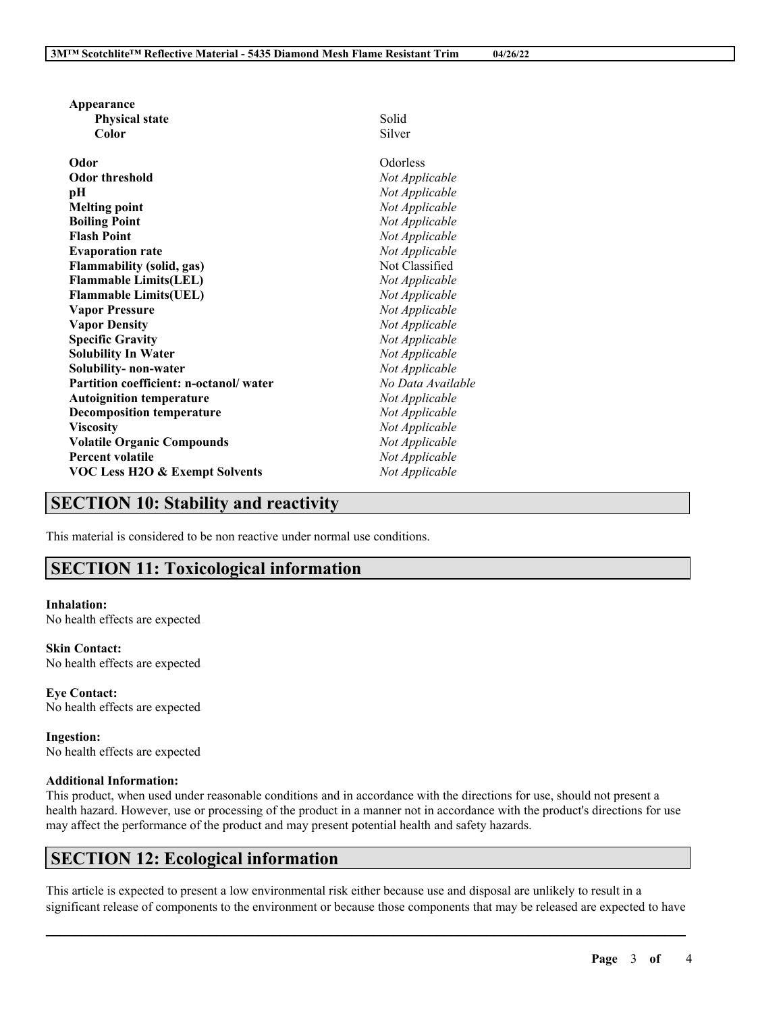| Appearance                                |                   |  |
|-------------------------------------------|-------------------|--|
| <b>Physical state</b>                     | Solid             |  |
| Color                                     | Silver            |  |
| Odor                                      | Odorless          |  |
| Odor threshold                            | Not Applicable    |  |
| pН                                        | Not Applicable    |  |
| <b>Melting point</b>                      | Not Applicable    |  |
| <b>Boiling Point</b>                      | Not Applicable    |  |
| <b>Flash Point</b>                        | Not Applicable    |  |
| <b>Evaporation rate</b>                   | Not Applicable    |  |
| <b>Flammability (solid, gas)</b>          | Not Classified    |  |
| <b>Flammable Limits(LEL)</b>              | Not Applicable    |  |
| <b>Flammable Limits(UEL)</b>              | Not Applicable    |  |
| <b>Vapor Pressure</b>                     | Not Applicable    |  |
| <b>Vapor Density</b>                      | Not Applicable    |  |
| <b>Specific Gravity</b>                   | Not Applicable    |  |
| <b>Solubility In Water</b>                | Not Applicable    |  |
| Solubility-non-water                      | Not Applicable    |  |
| Partition coefficient: n-octanol/water    | No Data Available |  |
| <b>Autoignition temperature</b>           | Not Applicable    |  |
| <b>Decomposition temperature</b>          | Not Applicable    |  |
| <b>Viscosity</b>                          | Not Applicable    |  |
| <b>Volatile Organic Compounds</b>         | Not Applicable    |  |
| <b>Percent volatile</b>                   | Not Applicable    |  |
| <b>VOC Less H2O &amp; Exempt Solvents</b> | Not Applicable    |  |
|                                           |                   |  |

# **SECTION 10: Stability and reactivity**

This material is considered to be non reactive under normal use conditions.

# **SECTION 11: Toxicological information**

#### **Inhalation:** No health effects are expected

**Skin Contact:** No health effects are expected

**Eye Contact:** No health effects are expected

**Ingestion:** No health effects are expected

#### **Additional Information:**

This product, when used under reasonable conditions and in accordance with the directions for use, should not present a health hazard. However, use or processing of the product in a manner not in accordance with the product's directions for use may affect the performance of the product and may present potential health and safety hazards.

# **SECTION 12: Ecological information**

This article is expected to present a low environmental risk either because use and disposal are unlikely to result in a significant release of components to the environment or because those components that may be released are expected to have

 $\mathcal{L}_\mathcal{L} = \mathcal{L}_\mathcal{L} = \mathcal{L}_\mathcal{L} = \mathcal{L}_\mathcal{L} = \mathcal{L}_\mathcal{L} = \mathcal{L}_\mathcal{L} = \mathcal{L}_\mathcal{L} = \mathcal{L}_\mathcal{L} = \mathcal{L}_\mathcal{L} = \mathcal{L}_\mathcal{L} = \mathcal{L}_\mathcal{L} = \mathcal{L}_\mathcal{L} = \mathcal{L}_\mathcal{L} = \mathcal{L}_\mathcal{L} = \mathcal{L}_\mathcal{L} = \mathcal{L}_\mathcal{L} = \mathcal{L}_\mathcal{L}$